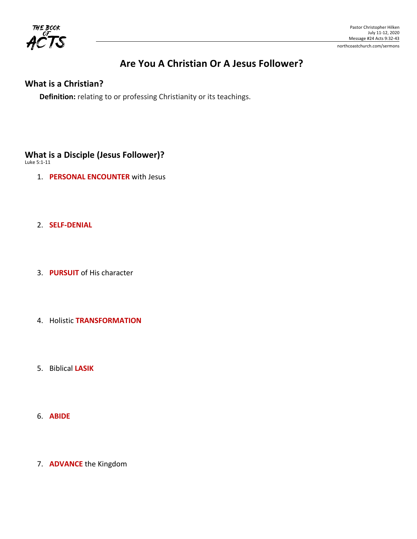

## Are You A Christian Or A Jesus Follower?

#### **What is a Christian?**

**Definition:** relating to or professing Christianity or its teachings.

## **What is a Disciple (Jesus Follower)?**

Luke 5:1-11

- 1. **PERSONAL ENCOUNTER** with Jesus
- 2. **SELF-DENIAL**
- 3. **PURSUIT** of His character
- **4. Holistic TRANSFORMATION**
- 5. Biblical **LASIK**
- 6. **ABIDE**
- 7. **ADVANCE** the Kingdom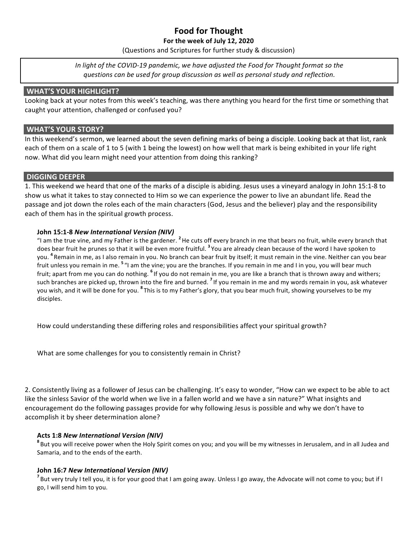## **Food for Thought**

#### For the week of July 12, 2020

(Questions and Scriptures for further study & discussion)

In light of the COVID-19 pandemic, we have adjusted the Food for Thought format so the questions can be used for group discussion as well as personal study and reflection.

#### **WHAT'S YOUR HIGHLIGHT?**

Looking back at your notes from this week's teaching, was there anything you heard for the first time or something that caught your attention, challenged or confused you?

#### **WHAT'S YOUR STORY?**

In this weekend's sermon, we learned about the seven defining marks of being a disciple. Looking back at that list, rank each of them on a scale of 1 to 5 (with 1 being the lowest) on how well that mark is being exhibited in your life right now. What did you learn might need your attention from doing this ranking?

#### **DIGGING DEEPER**

1. This weekend we heard that one of the marks of a disciple is abiding. Jesus uses a vineyard analogy in John 15:1-8 to show us what it takes to stay connected to Him so we can experience the power to live an abundant life. Read the passage and jot down the roles each of the main characters (God, Jesus and the believer) play and the responsibility each of them has in the spiritual growth process.

#### **John 15:1-8** *New International Version (NIV)*

"I am the true vine, and my Father is the gardener. <sup>2</sup> He cuts off every branch in me that bears no fruit, while every branch that does bear fruit he prunes so that it will be even more fruitful. <sup>3</sup> You are already clean because of the word I have spoken to you. <sup>4</sup> Remain in me, as I also remain in you. No branch can bear fruit by itself; it must remain in the vine. Neither can you bear fruit unless you remain in me. <sup>5</sup> "I am the vine; you are the branches. If you remain in me and I in you, you will bear much fruit; apart from me you can do nothing. <sup>6</sup> If you do not remain in me, you are like a branch that is thrown away and withers; such branches are picked up, thrown into the fire and burned. <sup>7</sup> If you remain in me and my words remain in you, ask whatever you wish, and it will be done for you. <sup>8</sup> This is to my Father's glory, that you bear much fruit, showing yourselves to be my disciples.

How could understanding these differing roles and responsibilities affect your spiritual growth?

What are some challenges for you to consistently remain in Christ?

2. Consistently living as a follower of Jesus can be challenging. It's easy to wonder, "How can we expect to be able to act like the sinless Savior of the world when we live in a fallen world and we have a sin nature?" What insights and encouragement do the following passages provide for why following Jesus is possible and why we don't have to accomplish it by sheer determination alone?

#### **Acts 1:8** *New International Version (NIV)*

<sup>8</sup> But you will receive power when the Holy Spirit comes on you; and you will be my witnesses in Jerusalem, and in all Judea and Samaria, and to the ends of the earth.

#### **John 16:7** *New International Version (NIV)*

<sup>7</sup> But very truly I tell you, it is for your good that I am going away. Unless I go away, the Advocate will not come to you; but if I go, I will send him to you.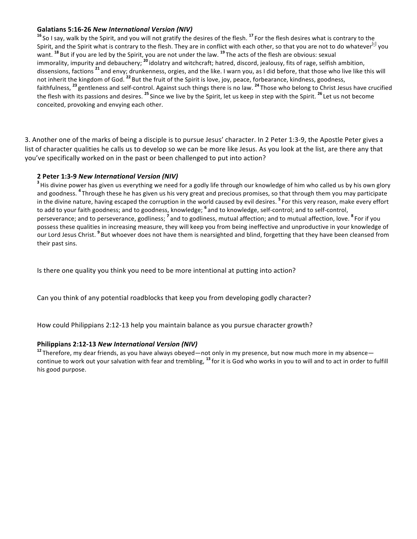#### **Galatians 5:16-26** *New International Version (NIV)*

<sup>16</sup> So I say, walk by the Spirit, and you will not gratify the desires of the flesh. <sup>17</sup> For the flesh desires what is contrary to the Spirit, and the Spirit what is contrary to the flesh. They are in conflict with each other, so that you are not to do whatever<sup>[c]</sup> you want. <sup>18</sup> But if you are led by the Spirit, you are not under the law. <sup>19</sup> The acts of the flesh are obvious: sexual immorality, impurity and debauchery; <sup>20</sup> idolatry and witchcraft; hatred, discord, jealousy, fits of rage, selfish ambition, dissensions, factions <sup>21</sup> and envy; drunkenness, orgies, and the like. I warn you, as I did before, that those who live like this will not inherit the kingdom of God. <sup>22</sup> But the fruit of the Spirit is love, joy, peace, forbearance, kindness, goodness, faithfulness, <sup>23</sup> gentleness and self-control. Against such things there is no law. <sup>24</sup> Those who belong to Christ Jesus have crucified the flesh with its passions and desires. <sup>25</sup> Since we live by the Spirit, let us keep in step with the Spirit. <sup>26</sup> Let us not become conceited, provoking and envying each other.

3. Another one of the marks of being a disciple is to pursue Jesus' character. In 2 Peter 1:3-9, the Apostle Peter gives a list of character qualities he calls us to develop so we can be more like Jesus. As you look at the list, are there any that you've specifically worked on in the past or been challenged to put into action?

#### **2 Peter 1:3-9** *New International Version (NIV)*

<sup>3</sup> His divine power has given us everything we need for a godly life through our knowledge of him who called us by his own glory and goodness. <sup>4</sup> Through these he has given us his very great and precious promises, so that through them you may participate in the divine nature, having escaped the corruption in the world caused by evil desires. <sup>5</sup> For this very reason, make every effort to add to your faith goodness; and to goodness, knowledge; <sup>6</sup> and to knowledge, self-control; and to self-control, perseverance; and to perseverance, godliness; <sup>7</sup> and to godliness, mutual affection; and to mutual affection, love. <sup>8</sup> For if you possess these qualities in increasing measure, they will keep you from being ineffective and unproductive in your knowledge of our Lord Jesus Christ. <sup>9</sup> But whoever does not have them is nearsighted and blind, forgetting that they have been cleansed from their past sins.

Is there one quality you think you need to be more intentional at putting into action?

Can you think of any potential roadblocks that keep you from developing godly character?

How could Philippians 2:12-13 help you maintain balance as you pursue character growth?

#### **Philippians 2:12-13** *New International Version (NIV)*

<sup>12</sup> Therefore, my dear friends, as you have always obeyed—not only in my presence, but now much more in my absence continue to work out your salvation with fear and trembling, <sup>13</sup> for it is God who works in you to will and to act in order to fulfill his good purpose.